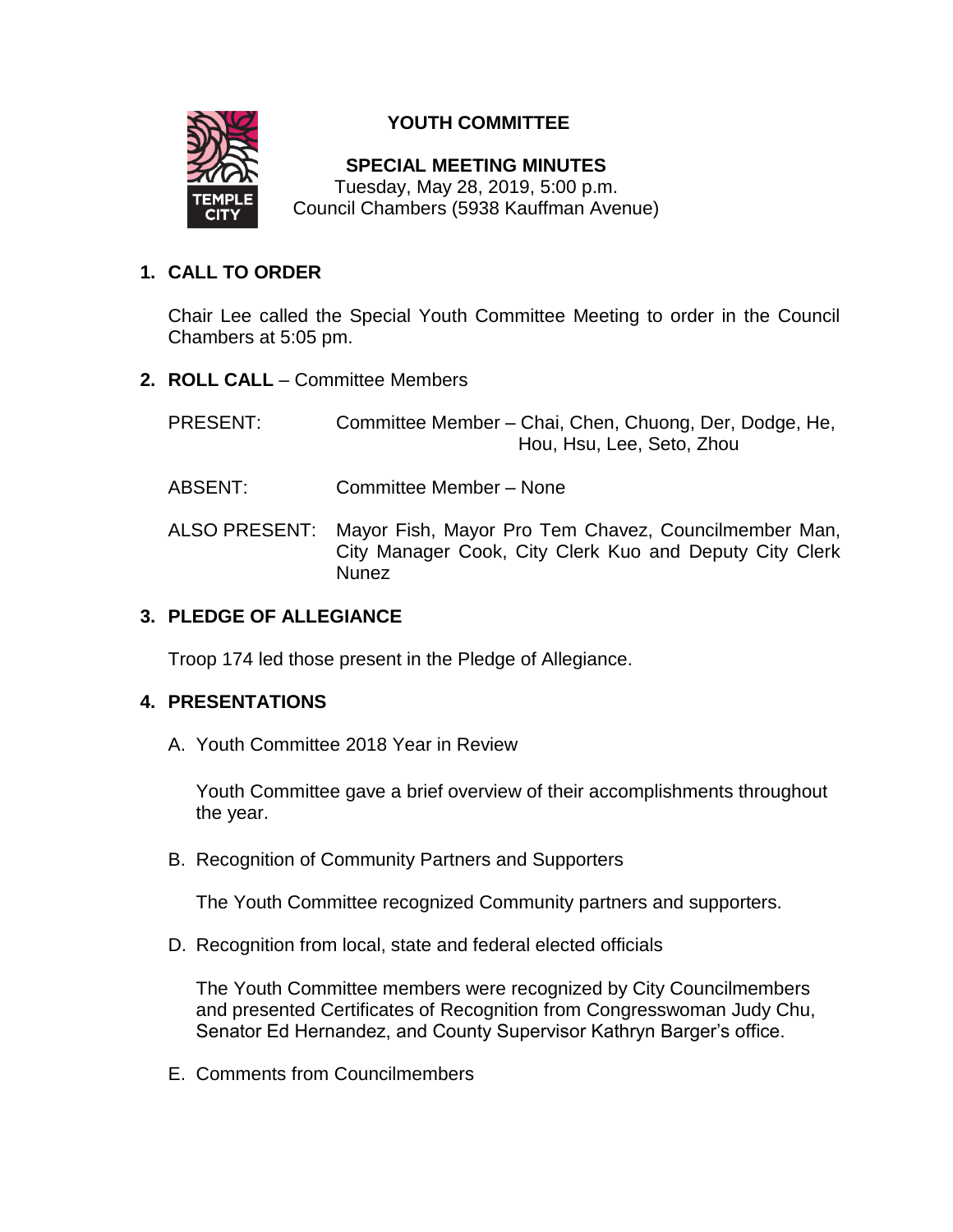

# **YOUTH COMMITTEE**

**SPECIAL MEETING MINUTES** Tuesday, May 28, 2019, 5:00 p.m. Council Chambers (5938 Kauffman Avenue)

# **1. CALL TO ORDER**

Chair Lee called the Special Youth Committee Meeting to order in the Council Chambers at 5:05 pm.

- **2. ROLL CALL**  Committee Members
	- PRESENT: Committee Member Chai, Chen, Chuong, Der, Dodge, He, Hou, Hsu, Lee, Seto, Zhou
	- ABSENT: Committee Member None
	- ALSO PRESENT: Mayor Fish, Mayor Pro Tem Chavez, Councilmember Man, City Manager Cook, City Clerk Kuo and Deputy City Clerk **Nunez**

# **3. PLEDGE OF ALLEGIANCE**

Troop 174 led those present in the Pledge of Allegiance.

## **4. PRESENTATIONS**

A. Youth Committee 2018 Year in Review

Youth Committee gave a brief overview of their accomplishments throughout the year.

B. Recognition of Community Partners and Supporters

The Youth Committee recognized Community partners and supporters.

D. Recognition from local, state and federal elected officials

The Youth Committee members were recognized by City Councilmembers and presented Certificates of Recognition from Congresswoman Judy Chu, Senator Ed Hernandez, and County Supervisor Kathryn Barger's office.

E. Comments from Councilmembers